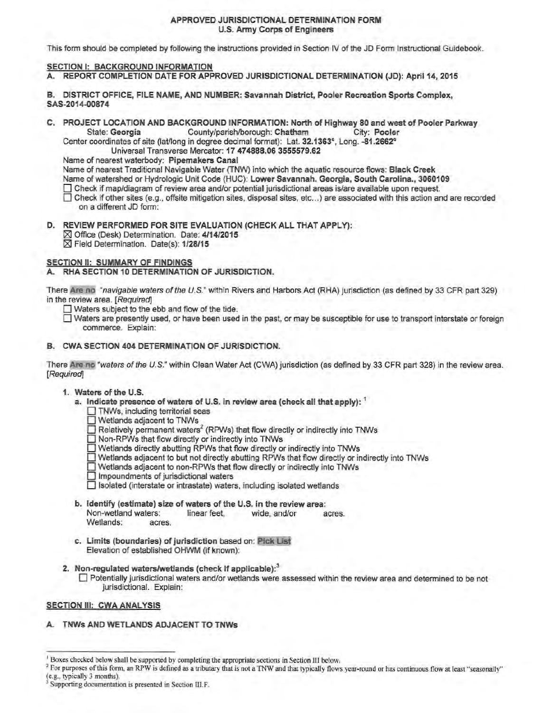#### APPROVED JURISDICTIONAL DETERMINATION FORM U.S. Anny Corps of Engineers

This form should be completed by following the instructions provided in Section IV of the JD Form Instructional Guidebook.

#### SECTION I: BACKGROUND INFORMATION

A. REPORT COMPLETION DATE FOR APPROVED JURISDICTIONAL DETERMINATION (JD): April 14, 2015

B. DISTRICT OFFICE, FILE NAME, AND NUMBER: Savannah District, Pooler Recreation Sports Complex, SAS-2014-00874

C. PROJECT LOCATION AND BACKGROUND INFORMATION: North of Highway 80 and west of Pooler Parkway<br>State: Georgia County/parish/borough: Chatham City: Pooler County/parish/borough: Chatham

Center coordinates of site (laVlong in degree decimal format): Lat. 32.1363°, Long. -81.2662° Universal Transverse Mercator: 17 474888.06 3555579.62

Name of nearest waterbody: Pipemakers Canal

Name of nearest Traditional Navigable Water (TNW) into which the aquatic resource flows: Black Creek

- Name of watershed or Hydrologic Unit Code (HUC): Lower Savannah. Georgia, South Carolina., 3060109
- 0 Check if map/diagram of review area and/or potential jurisdictional areas is/are available upon request.
- $\Box$  Check if other sites (e.g., offsite mitigation sites, disposal sites, etc...) are associated with this action and are recorded on a different JD form:
- D. REVIEW PERFORMED FOR SITE EVALUATION (CHECK ALL THAT APPLY): [81 Office (Desk) Determination. Date: 4/14/2015 [81 Field Determination. Date{s): 1/28/15

## SECTION II: SUMMARY OF FINDINGS

## A. RHA SECTION 10 DETERMINATION OF JURISDICTION.

There Are no "navigable waters of the U.S." within Rivers and Harbors Act (RHA) jurisdiction (as defined by 33 CFR part 329) in the review area. [Required]

- $\Box$  Waters subject to the ebb and flow of the tide.
- □ Waters subject to the eco and not of the last.<br>□ Waters are presently used, or have been used in the past, or may be susceptible for use to transport interstate or foreign commerce. Explain:

## B. CWA SECTION 404 DETERMINATION OF JURISDICTION.

There Are no "waters of the U.S." within Clean Water Act (CWA) jurisdiction (as defined by 33 CFR part 328) in the review area. [Required]

## 1. Waters of the U.S.

- a. Indicate presence of waters of U.S. in review area (check all that apply):  $1$ 
	- $\Box$  TNWs, including territorial seas
	- $\Box$  Wetlands adjacent to TNWs
	- $\overline{\Box}$  Relatively permanent waters<sup>2</sup> (RPWs) that flow directly or indirectly into TNWs
	- □ Non-RPWs that flow directly or indirectly into TNWs
	- $\Box$  Wetlands directly abutting RPWs that flow directly or indirectly into TNWs
	- $\Box$  Wetlands adjacent to but not directly abutting RPWs that flow directly or indirectly into TNWs
	- $\Box$  Wetlands adjacent to non-RPWs that flow directly or indirectly into TNWs
	- $\Box$  Impoundments of jurisdictional waters
	- □ Isolated (interstate or intrastate) waters, including isolated wetlands
- b. Identify (estimate) size of waters of the U.S. in the review area:<br>Non-wetland waters: linear feet. wide, and/or Non-wetland waters: linear feet, wide, and/or acres. Wetlands: acres.
- c. Limits (boundaries) of jurisdiction based on: Pick List Elevation of established OHWM (if known):
- 2. Non-regulated waters/wetlands (check if applicable):<sup>3</sup>
	- □ Potentially jurisdictional waters and/or wetlands were assessed within the review area and determined to be not jurisdictional. Explain:

## SECTION III: CWA ANALYSIS

## TNWs AND WETLANDS ADJACENT TO TNWs

<sup>1</sup> Boxes checked below shall be supported by completing the appropriate sections in Section III below.

<sup>&</sup>lt;sup>2</sup> For purposes of this form, an RPW is defined as a tributary that is not a TNW and that typically flows year-round or has continuous flow at least "seasonally" (e.g., typically 3 months).

Supporting documentation is presented in Section III.F.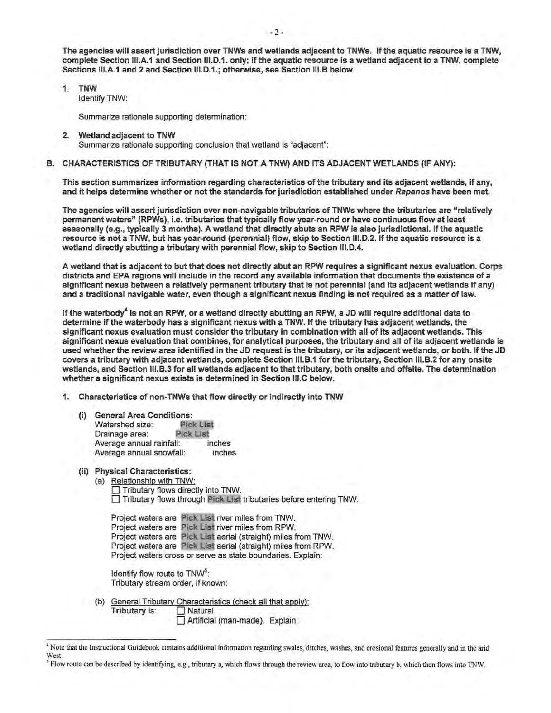The agencies will assert jurisdiction over TNWs and wetlands adjacent to TNWs. If the aquatic resource is a TNW, complete Section 111.A.1 and Section 111.D.1. only; if the aquatic resource is a wetland adjacent to a TNW, complete Sections III.A.1 and 2 and Section III.D.1.; otherwise, see Section III.B below.

1. TNW Identify TNW:

Summarize rationale supporting determination:

2. Wetland adjacent to TNW Summarize rationale supporting conclusion that wetland is "adjacent":

#### B. CHARACTERISTICS OF TRIBUTARY (THAT IS NOT A TNW) AND ITS ADJACENT WETLANDS (IF ANY):

This section summarizes information regarding characteristics of the tributary and its adjacent wetlands, if any, and it helps determine whether or not the standards for jurisdiction established under Rapanos have been met.

The agencies will assert jurisdiction over non-navigable tributaries of TNWs where the tributaries are "relatively permanent waters" (RPWs), i.e. tributaries that typically flow year-round or have continuous flow at least seasonally (e.g., typically 3 months). A wetland that directly abuts an RPW is also jurisdictional. If the aquatic resource is not a TNW, but has year-round (perennial) flow, skip to Section 111.D.2. If the aquatic resource is a wetland directly abutting a tributary with perennial flow, skip to Section 111.D.4.

A wetland that is adjacent to but that does not directly abut an RPW requires a significant nexus evaluation. Corps districts and EPA regions will include in the record any available information that documents the existence of a significant nexus between a relatively permanent tributary that is not perennial (and its adjacent wetlands if any) and a traditional navigable water, even though a significant nexus finding is not required as a matter of law.

If the waterbody<sup>4</sup> is not an RPW, or a wetland directly abutting an RPW, a JD will require additional data to determine if the waterbody has a significant nexus with a TNW. If the tributary has adjacent wetlands, the significant nexus evaluation must consider the tributary in combination with all of its adjacent wetlands. This significant nexus evaluation that combines, for analytical purposes, the tributary and all of its adjacent wetlands is used whether the review area identified in the JD request is the tributary, or its adjacent wetlands, or both. If the JD covers a tributary with adjacent wetlands, complete Section 111.B.1 for the tributary, Section 111.B.2 for any onsite wetlands, and Section 111.B.3 for all wetlands adjacent to that tributary, both onsite and offsite. The determination whether a significant nexus exists is determined in Section 111.C below.

- 1. Characteristics of non-TNWs that flow directly or indirectly into TNW
	- (i) General Area Conditions: Watershed size: **Pick List** Drainage area: Pick List Average annual rainfall: inches Average annual snowfall: inches
	- (ii) Physical Characteristics:
		- (a) Relationship with TNW:

Tributary flows directly into TNW. D Tributary flows through Pick List tributaries before entering TNW.

Project waters are Pick List river miles from TNW. Project waters are Pick List river miles from RPW. Project waters are Pick List aerial (straight) miles from TNW. Project waters are Pick List aerial (straight) miles from RPW. Project waters cross or serve as state boundaries. Explain:

Identify flow route to TNW<sup>5</sup>: Tributary stream order, if known:

(b) General Tributary Characteristics (check all that apply): Tributary is: **D** Natural  $\Box$  Artificial (man-made). Explain:

<sup>•</sup> Note that the Instructional Guidebook contains additional information regarding swales, ditches, washes, and erosional features generally and in the arid West.

<sup>&</sup>lt;sup>5</sup> Flow route can be described by identifying, e.g., tributary a, which flows through the review area, to flow into tributary b, which then flows into TNW.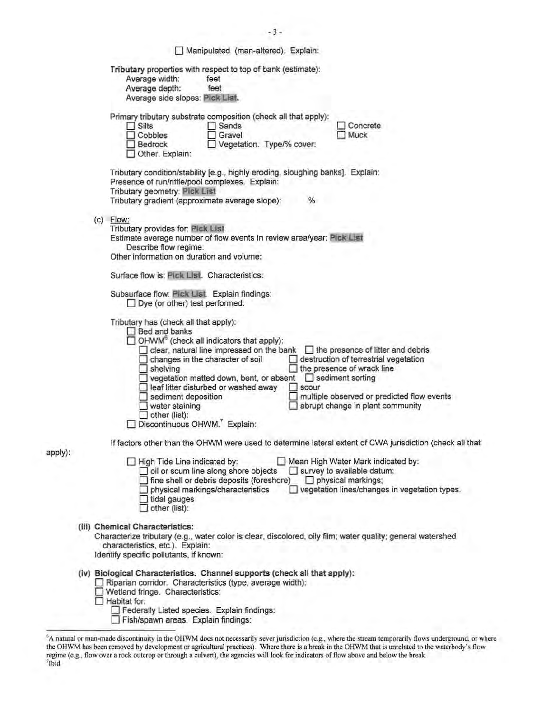|         | Manipulated (man-altered), Explain:                                                                                                                                                                                                                                                                                                                                                        |
|---------|--------------------------------------------------------------------------------------------------------------------------------------------------------------------------------------------------------------------------------------------------------------------------------------------------------------------------------------------------------------------------------------------|
|         | Tributary properties with respect to top of bank (estimate):<br>Average width:<br>feet<br>Average depth:<br>feet<br>Average side slopes: Pick List.                                                                                                                                                                                                                                        |
|         | Primary tributary substrate composition (check all that apply):<br>Concrete<br>$\Box$ Silts<br>$\Box$ Sands<br>Muck<br>Gravel<br>Cobbles<br>Bedrock<br>Vegetation. Type/% cover:<br>Other. Explain:                                                                                                                                                                                        |
|         | Tributary condition/stability [e.g., highly eroding, sloughing banks]. Explain:<br>Presence of run/riffle/pool complexes. Explain:<br>Tributary geometry: Pick List<br>Tributary gradient (approximate average slope):<br>%                                                                                                                                                                |
|         | $(c)$ Flow:<br>Tributary provides for: Pick List<br>Estimate average number of flow events in review area/year: Pick List<br>Describe flow regime:<br>Other information on duration and volume:                                                                                                                                                                                            |
|         | Surface flow is: Pick List. Characteristics:<br>Subsurface flow: Pick List. Explain findings:                                                                                                                                                                                                                                                                                              |
|         | $\Box$ Dye (or other) test performed:<br>Tributary has (check all that apply):<br>Bed and banks<br>OHWM <sup>6</sup> (check all indicators that apply):<br>clear, natural line impressed on the bank<br>$\Box$ the presence of litter and debris<br>destruction of terrestrial vegetation<br>changes in the character of soil                                                              |
|         | $\Box$ the presence of wrack line<br>$\Box$ shelving<br>vegetation matted down, bent, or absent<br>sediment sorting<br>leaf litter disturbed or washed away<br>$\Box$ scour<br>$\Box$ multiple observed or predicted flow events<br>$\Box$ sediment deposition<br>$\Box$ abrupt change in plant community<br>$\Box$ water staining<br>$\Box$ other (list):<br>Discontinuous OHWM. Explain: |
| apply): | If factors other than the OHWM were used to determine lateral extent of CWA jurisdiction (check all that                                                                                                                                                                                                                                                                                   |
|         | Mean High Water Mark indicated by:<br>$\Box$ High Tide Line indicated by:<br>$\Box$ oil or scum line along shore objects<br>$\Box$ survey to available datum;<br>fine shell or debris deposits (foreshore)<br>$\Box$ physical markings;<br>physical markings/characteristics<br>vegetation lines/changes in vegetation types.<br>$\Box$ tidal gauges<br>other (list):                      |
|         | (iii) Chemical Characteristics:<br>Characterize tributary (e.g., water color is clear, discolored, oily film; water quality; general watershed<br>characteristics, etc.). Explain:<br>Identify specific pollutants, if known:                                                                                                                                                              |
|         | (iv) Biological Characteristics. Channel supports (check all that apply):<br>Riparian corridor. Characteristics (type, average width):<br>Wetland fringe. Characteristics:<br>$\Box$ Habitat for:<br>Federally Listed species. Explain findings:<br>Fish/spawn areas. Explain findings:                                                                                                    |

 $-3-$ 

<sup>&</sup>lt;sup>6</sup>A natural or man-made discontinuity in the OHWM does not necessarily sever jurisdiction (e.g., where the stream temporarily flows underground, or where<br>the OHWM has been removed by development or agricultural practices)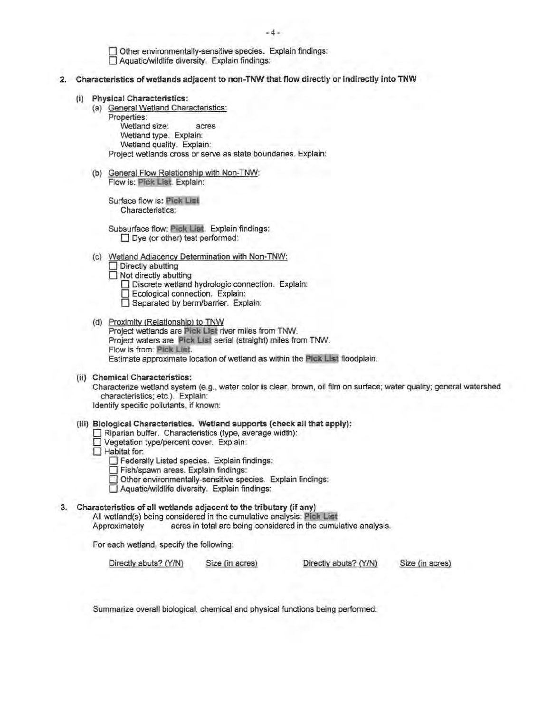$-4-$ 

 $\Box$  Other environmentally-sensitive species. Explain findings: 0 Aquatic/wildlife diversity. Explain findings:

- 2. Characteristics of wetlands adjacent to non-TNW that flow directly or indirectly into TNW
	- (i) Physical Characteristics:
		- (a) General Wetland Characteristics:
			- Properties:

 Wetland size: acres Wetland type. Explain: Wetland quality. Explain: Project wetlands cross or serve as state boundaries. Explain:

(b) General Flow Relationship with Non-TNW: Flow is: Pick List. Explain:

Surface flow is: Pick List Characteristics:

Subsurface flow: Pick List. Explain findings:  $\Box$  Dye (or other) test performed:

(c) Wetland Adjacency Determination with Non-TNW:  $\Box$  Directly abutting

 $\Box$  Not directly abutting

- Discrete wetland hydrologic connection. Explain:
- Ecological connection. Explain:
- □ Separated by berm/barrier. Explain:
- (d) Proximity (Relationship) to TNW Project wetlands are Pick List river miles from TNW. Project waters are Pick List aerial (straight) miles from TNW. Flow is from: Pick List. Estimate approximate location of wetland as within the Pick List floodplain.
- (ii) Chemical Characteristics:

Characterize wetland system (e.g., water color is clear, brown. oil film on surface; water quality; general watershed characteristics; etc.). Explain: Identify specific pollutants, if known:

- (iii) Biological Characteristics. Wetland supports (check all that apply):
	- □ Riparian buffer. Characteristics (type, average width):<br>□ Vegetation type/percent cover. Explain:
		-
	- $\Box$  Habitat for:
		- $\Box$  Federally Listed species. Explain findings:
		- $\Box$  Fish/spawn areas. Explain findings:<br> $\Box$  Other environmentally-sensitive spe
		- 0 Other environmentally-sensitive species. Explain findings:
		- $\Box$  Aquatic/wildlife diversity. Explain findings:

# 3. Characteristics of all wetlands adjacent to the tributary (if any)

All wetland(s) being considered in the cumulative analysis: Pick List

Approximately acres in total are being considered in the cumulative analysis.

For each wetland, specify the following:

Directly abuts? (Y/N) Size (in acres) Directly abuts? (Y/N) Size (in acres)

Summarize overall biological, chemical and physical functions being performed: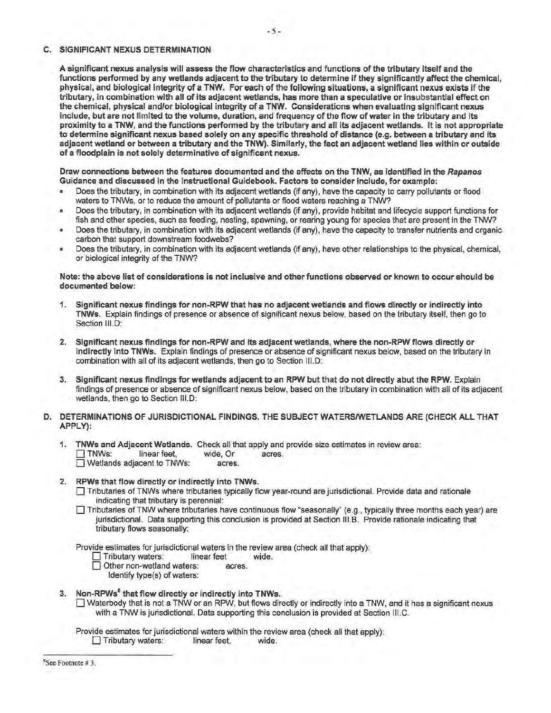#### C. SIGNIFICANT NEXUS DETERMINATION

A significant nexus analysis will assess the flow characteristics and functions of the tributary itself and the functions performed by any wetlands adjacent to the tributary to determine if they significantly affect the chemical, physical, and biological integrity of a TNW. For each of the following situations, a significant nexus exists if the tributary, in combination with all of its adjacent wetlands, has more than a speculative or insubstantial effect on the chemical, physical and/or biological integrity of a TNW. Considerations when evaluating significant nexus include, but are not limited to the volume, duration, and frequency of the flow of water in the tributary and its proximity to a TNW, and the functions performed by the tributary and all its adjacent wetlands. It is not appropriate to determine significant nexus based solely on any specific threshold of distance (e.g. between a tributary and its adjacent wetland or between a tributary and the TNW). Similarly, the fact an adjacent wetland lies within or outside of a floodplain is not solely determinative of significant nexus.

Draw connections between the features documented and the effects on the TNW, as identified in the Rapanos Guidance and discussed in the Instructional Guidebook. Factors to consider include, for example:

- Does the tributary, in combination with its adjacent wetlands (if any), have the capacity to carry pollutants or flood waters to TNWs, or to reduce the amount of pollutants or flood waters reaching a TNW?
- Does the tributary, in combination with its adjacent wetlands (if any), provide habitat and lifecycle support functions for fish and other species, such as feeding, nesting, spawning, or rearing young for species that are present in the TNW?
- Does the tributary, in combination with its adjacent wetlands (if any), have the capacity to transfer nutrients and organic carbon that support downstream foodwebs?
- Does the tributary, in combination with its adjacent wetlands (if any), have other relationships to the physical, chemical, or biological integrity of the TNW?

Note: the above list of considerations is not inclusive and other functions observed or known to occur should be documented below:

- 1. Significant nexus findings for non-RPW that has no adjacent wetlands and flows directly or indirectly into TNWs. Explain findings of presence or absence of significant nexus below, based on the tributary itself, then go to Section III.D:
- 2. Significant nexus findings for non-RPW and its adjacent wetlands, where the non-RPW flows directly or indirectly into TNWs. Explain findings of presence or absence of significant nexus below, based on the tributary in combination with all of its adjacent wetlands, then go to Section 111.D:
- 3. Significant nexus findings for wetlands adjacent to an RPW but that do not directly abut the RPW. Explain findings of presence or absence of significant nexus below, based on the tributary in combination with all of its adjacent wetlands, then go to Section III.D:
- D. DETERMINATIONS OF JURISDICTIONAL FINDINGS. THE SUBJECT WATERS/WETLANDS ARE (CHECK ALL THAT APPLY):
	- 1. TNWs and Adjacent Wetlands. Check all that apply and provide size estimates in review area: TNWs: linear feet, wide, Or acres. O Wetlands adjacent to TNWs: acres.

#### 2. RPWs that flow directly or indirectly into TNWs.

- 0 Tributaries of TNWs where tributaries typically flow year-round are jurisdictional. Provide data and rationale indicating that tributary is perennial:
- 0 Tributaries ofTNW where tributaries have continuous flow "seasonally" (e.g., typically three months each year) are jurisdictional. Data supporting this conclusion is provided at Section 111.B. Provide rationale indicating that tributary flows seasonally:

Provide estimates for jurisdictional waters in the review area {check all that apply):

Tributary waters: linear feet wide.

 $\overline{\Box}$  Other non-wetland waters: acres.

Identify type(s) of waters:

- 3. Non-RPWs<sup>8</sup> that flow directly or indirectly into TNWs.
	- $\Box$  Waterbody that is not a TNW or an RPW, but flows directly or indirectly into a TNW, and it has a significant nexus with a TNW is jurisdictional. Data supporting this conclusion is provided at Section III.C.

Provide estimates for jurisdictional waters within the review area (check all that apply): 0 Tributary waters: linear feet, wide.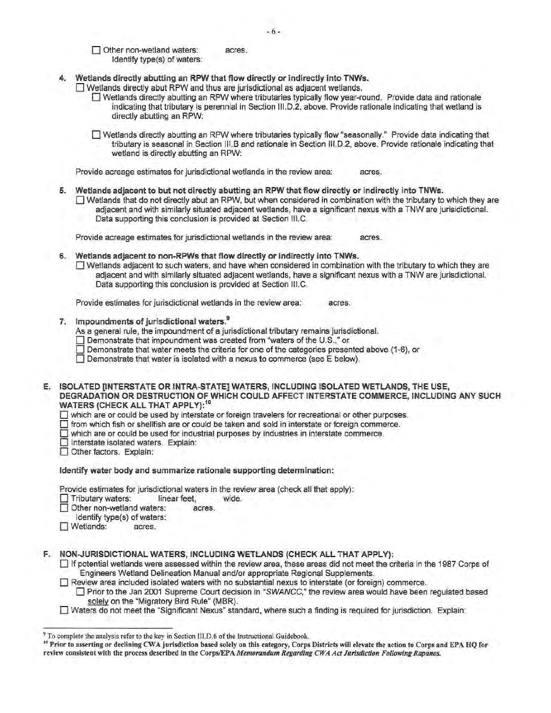Other non-wetland waters: acres. Identify type(s) of waters:

- 4. Wetlands directly abutting an RPW that flow directly or indirectly into TNWs.
	- $\Box$  Wetlands directly abut RPW and thus are jurisdictional as adjacent wetlands.
		- D Wetlands directly abutting an RPW where tributaries typically flow year-round. Provide data and rationale indicating that tributary is perennial in Section 111.D.2, above. Provide rationale indicating that wetland is directly abutting an RPW:

0 Wetlands directly abutting an RPW where tributaries typically flow "seasonally." Provide data indicating that tributary is seasonal in Section III.B and rationale in Section III.D.2, above. Provide rationale indicating that wetland is directly abutting an RPW:

Provide acreage estimates for jurisdictional wetlands in the review area: acres.

5. Wetlands adjacent to but not directly abutting an RPW that flow directly or indirectly into TNWs.  $\Box$  Wetlands that do not directly abut an RPW, but when considered in combination with the tributary to which they are adjacent and with similarly situated adjacent wetlands, have a significant nexus with a TNW are jurisidictional. Data supporting this conclusion is provided at Section 111.C.

Provide acreage estimates for jurisdictional wetlands in the review area: acres.

6. Wetlands adjacent to non-RPWs that flow directly or indirectly into TNWs. D Wetlands adjacent to such waters, and have when considered in combination with the tributary to which they are adjacent and with similarly situated adjacent wetlands, have a significant nexus with a TNW are jurisdictional. Data supporting this conclusion is provided at Section 111.C.

Provide estimates for jurisdictional wetlands in the review area: acres.

7. Impoundments of jurisdictional waters.<sup>9</sup>

As a general rule, the impoundment of a jurisdictional tributary remains jurisdictional.

- $\square$  Demonstrate that impoundment was created from "waters of the U.S.," or
- $\Box$  Demonstrate that water meets the criteria for one of the categories presented above (1-6), or

 $\Box$  Demonstrate that water is isolated with a nexus to commerce (see E below).

E. ISOLATED [INTERSTATE OR INTRA-STATE] WATERS, INCLUDING ISOLATED WETLANDS, THE USE, DEGRADATION OR DESTRUCTION OF WHICH COULD AFFECT INTERSTATE COMMERCE, INCLUDING ANY SUCH WATERS (CHECK ALL THAT APPLY):<sup>10</sup>

0 which are or could be used by interstate or foreign travelers for recreational or other purposes.

 $\Box$  from which fish or shellfish are or could be taken and sold in interstate or foreign commerce.

0 which are or could be used for industrial purposes by industries in interstate commerce.

- Interstate isolated waters. Explain:
- Other factors. Explain:

#### Identify water body and summarize rationale supporting determination:

Provide estimates for jurisdictional waters in the review area (check all that apply):

Tributary waters: linear feet, wide.

Other non-wetland waters: acres.

- Identify type(s) of waters:
- D Wetlands: acres.

F. NON-JURISDICTIONAL WATERS, INCLUDING WETLANDS (CHECK ALL THAT APPLY):

 $\Box$  If potential wetlands were assessed within the review area, these areas did not meet the criteria in the 1987 Corps of Engineers Wetland Delineation Manual and/or appropriate Regional Supplements.

 $\square$  Review area included isolated waters with no substantial nexus to interstate (or foreign) commerce.

**D** Prior to the Jan 2001 Supreme Court decision in "SWANCC," the review area would have been regulated based solely on the "Migratory Bird Rule" (MBR).

0 Waters do not meet the "Significant Nexus" standard, where such a finding is required for jurisdiction. Explain:

<sup>&</sup>lt;sup>9</sup> To complete the analysis refer to the key in Section III.D.6 of the Instructional Guidebook.

<sup>&</sup>lt;sup>10</sup> Prior to asserting or declining CWA jurisdiction based solely on this category, Corps Districts will elevate the action to Corps and EPA HQ for review consistent with the process described in the Corps/EPA Memorandum Regarding CWA Act Jurisdiction Following Rapanos.